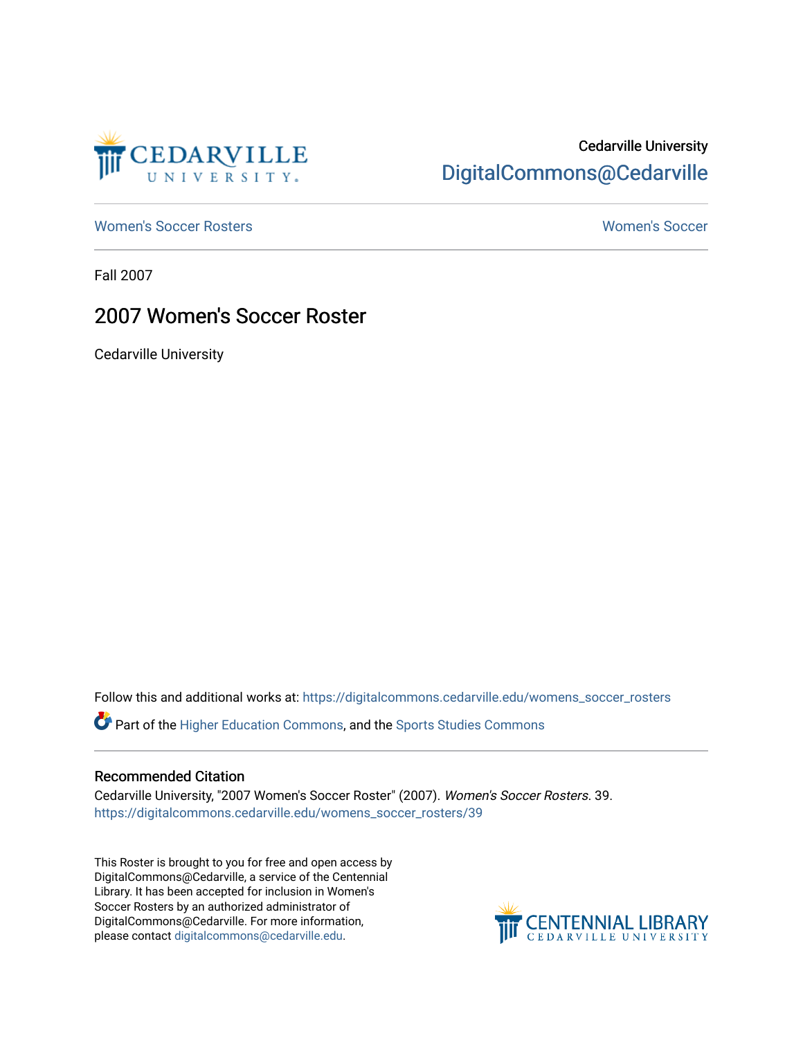

## Cedarville University [DigitalCommons@Cedarville](https://digitalcommons.cedarville.edu/)

[Women's Soccer Rosters](https://digitalcommons.cedarville.edu/womens_soccer_rosters) [Women's Soccer](https://digitalcommons.cedarville.edu/womens_soccer) 

Fall 2007

### 2007 Women's Soccer Roster

Cedarville University

Follow this and additional works at: [https://digitalcommons.cedarville.edu/womens\\_soccer\\_rosters](https://digitalcommons.cedarville.edu/womens_soccer_rosters?utm_source=digitalcommons.cedarville.edu%2Fwomens_soccer_rosters%2F39&utm_medium=PDF&utm_campaign=PDFCoverPages) 

Part of the [Higher Education Commons,](http://network.bepress.com/hgg/discipline/1245?utm_source=digitalcommons.cedarville.edu%2Fwomens_soccer_rosters%2F39&utm_medium=PDF&utm_campaign=PDFCoverPages) and the [Sports Studies Commons](http://network.bepress.com/hgg/discipline/1198?utm_source=digitalcommons.cedarville.edu%2Fwomens_soccer_rosters%2F39&utm_medium=PDF&utm_campaign=PDFCoverPages) 

#### Recommended Citation

Cedarville University, "2007 Women's Soccer Roster" (2007). Women's Soccer Rosters. 39. [https://digitalcommons.cedarville.edu/womens\\_soccer\\_rosters/39](https://digitalcommons.cedarville.edu/womens_soccer_rosters/39?utm_source=digitalcommons.cedarville.edu%2Fwomens_soccer_rosters%2F39&utm_medium=PDF&utm_campaign=PDFCoverPages)

This Roster is brought to you for free and open access by DigitalCommons@Cedarville, a service of the Centennial Library. It has been accepted for inclusion in Women's Soccer Rosters by an authorized administrator of DigitalCommons@Cedarville. For more information, please contact [digitalcommons@cedarville.edu](mailto:digitalcommons@cedarville.edu).